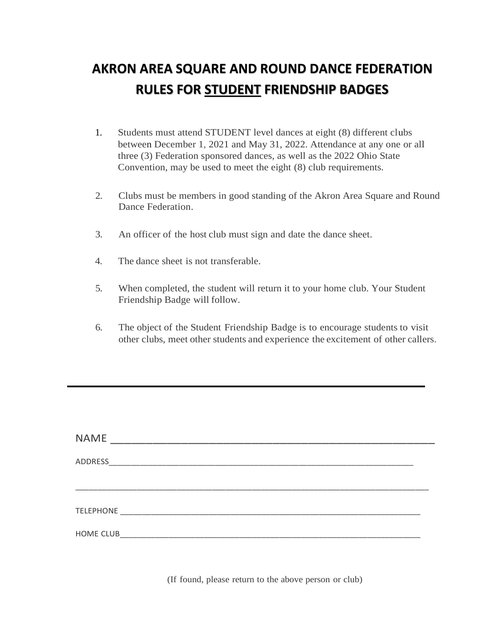## **AKRON AREA SQUARE AND ROUND DANCE FEDERATION RULES FOR STUDENT FRIENDSHIP BADGES**

- 1. Students must attend STUDENT level dances at eight (8) different clubs between December 1, 2021 and May 31, 2022. Attendance at any one or all three (3) Federation sponsored dances, as well as the 2022 Ohio State Convention, may be used to meet the eight (8) club requirements.
- 2. Clubs must be members in good standing of the Akron Area Square and Round Dance Federation.
- 3. An officer of the host club must sign and date the dance sheet.
- 4. The dance sheet is not transferable.
- 5. When completed, the student will return it to your home club. Your Student Friendship Badge will follow.
- 6. The object of the Student Friendship Badge is to encourage students to visit other clubs, meet other students and experience the excitement of other callers.

| <b>NAME</b> |  |  |  |
|-------------|--|--|--|
|             |  |  |  |
|             |  |  |  |
|             |  |  |  |
|             |  |  |  |

(If found, please return to the above person or club)